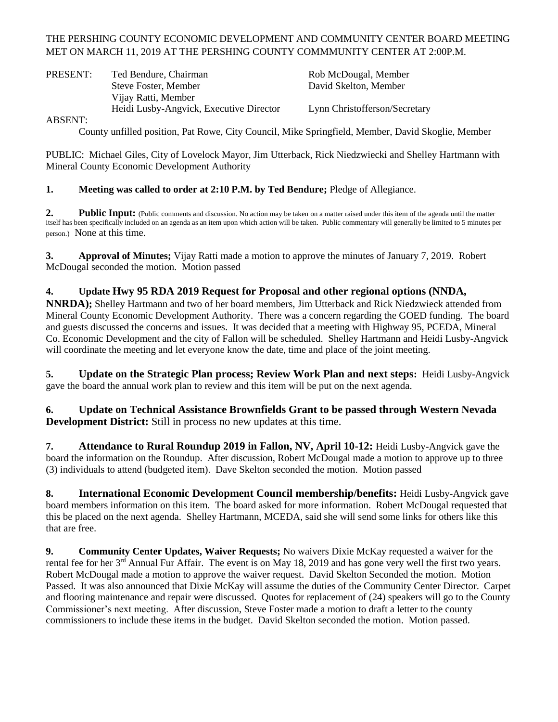# THE PERSHING COUNTY ECONOMIC DEVELOPMENT AND COMMUNITY CENTER BOARD MEETING MET ON MARCH 11, 2019 AT THE PERSHING COUNTY COMMMUNITY CENTER AT 2:00P.M.

| PRESENT: | Ted Bendure, Chairman                   | Rob McDougal, Member          |
|----------|-----------------------------------------|-------------------------------|
|          | Steve Foster, Member                    | David Skelton, Member         |
|          | Vijay Ratti, Member                     |                               |
|          | Heidi Lusby-Angvick, Executive Director | Lynn Christofferson/Secretary |

ABSENT:

County unfilled position, Pat Rowe, City Council, Mike Springfield, Member, David Skoglie, Member

PUBLIC: Michael Giles, City of Lovelock Mayor, Jim Utterback, Rick Niedzwiecki and Shelley Hartmann with Mineral County Economic Development Authority

### **1. Meeting was called to order at 2:10 P.M. by Ted Bendure;** Pledge of Allegiance.

2. Public Input: (Public comments and discussion. No action may be taken on a matter raised under this item of the agenda until the matter itself has been specifically included on an agenda as an item upon which action will be taken. Public commentary will generally be limited to 5 minutes per person.) None at this time.

**3. Approval of Minutes;** Vijay Ratti made a motion to approve the minutes of January 7, 2019. Robert McDougal seconded the motion. Motion passed

### **4. Update Hwy 95 RDA 2019 Request for Proposal and other regional options (NNDA,**

**NNRDA);** Shelley Hartmann and two of her board members, Jim Utterback and Rick Niedzwieck attended from Mineral County Economic Development Authority. There was a concern regarding the GOED funding. The board and guests discussed the concerns and issues. It was decided that a meeting with Highway 95, PCEDA, Mineral Co. Economic Development and the city of Fallon will be scheduled. Shelley Hartmann and Heidi Lusby-Angvick will coordinate the meeting and let everyone know the date, time and place of the joint meeting.

**5. Update on the Strategic Plan process; Review Work Plan and next steps:** Heidi Lusby-Angvick gave the board the annual work plan to review and this item will be put on the next agenda.

**6. Update on Technical Assistance Brownfields Grant to be passed through Western Nevada Development District:** Still in process no new updates at this time.

**7. Attendance to Rural Roundup 2019 in Fallon, NV, April 10-12:** Heidi Lusby-Angvick gave the board the information on the Roundup. After discussion, Robert McDougal made a motion to approve up to three (3) individuals to attend (budgeted item). Dave Skelton seconded the motion. Motion passed

**8. International Economic Development Council membership/benefits:** Heidi Lusby-Angvick gave board members information on this item. The board asked for more information. Robert McDougal requested that this be placed on the next agenda. Shelley Hartmann, MCEDA, said she will send some links for others like this that are free.

**9. Community Center Updates, Waiver Requests;** No waivers Dixie McKay requested a waiver for the rental fee for her 3<sup>rd</sup> Annual Fur Affair. The event is on May 18, 2019 and has gone very well the first two years. Robert McDougal made a motion to approve the waiver request. David Skelton Seconded the motion. Motion Passed. It was also announced that Dixie McKay will assume the duties of the Community Center Director. Carpet and flooring maintenance and repair were discussed. Quotes for replacement of (24) speakers will go to the County Commissioner's next meeting. After discussion, Steve Foster made a motion to draft a letter to the county commissioners to include these items in the budget. David Skelton seconded the motion. Motion passed.